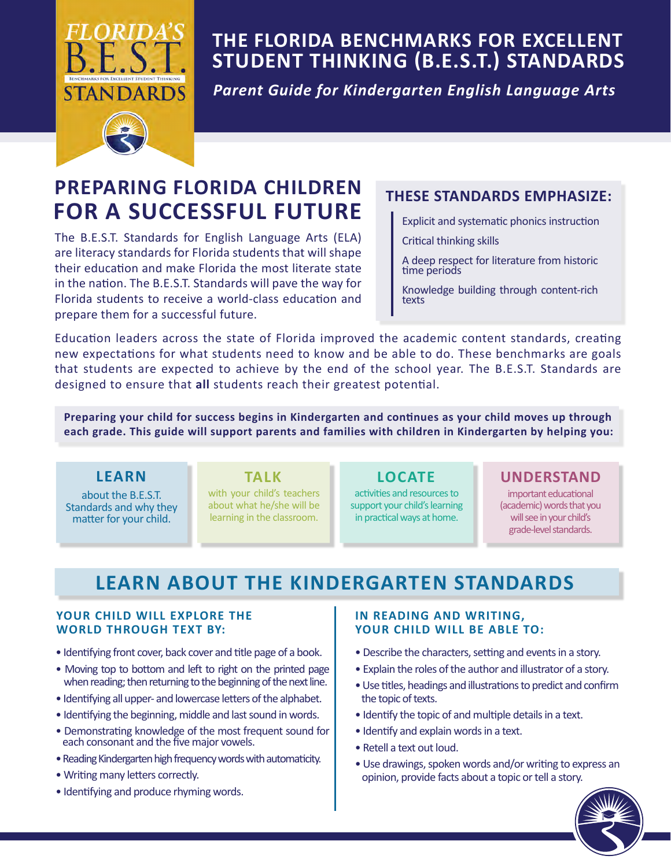

# **THE FLORIDA BENCHMARKS FOR EXCELLENT STUDENT THINKING (B.E.S.T.) STANDARDS**

*Parent Guide for Kindergarten English Language Arts* 

# **PREPARING FLORIDA CHILDREN FOR A SUCCESSFUL FUTURE**

 in the nation. The B.E.S.T. Standards will pave the way for The B.E.S.T. Standards for English Language Arts (ELA) are literacy standards for Florida students that will shape their education and make Florida the most literate state Florida students to receive a world-class education and prepare them for a successful future.

### **THESE STANDARDS EMPHASIZE:**

- Explicit and systematic phonics instruction
- Critical thinking skills
- A deep respect for literature from historic time periods
- Knowledge building through content-rich texts

 that students are expected to achieve by the end of the school year. The B.E.S.T. Standards are Education leaders across the state of Florida improved the academic content standards, creating new expectations for what students need to know and be able to do. These benchmarks are goals designed to ensure that **all** students reach their greatest potential.

**Preparing your child for success begins in Kindergarten and continues as your child moves up through each grade. This guide will support parents and families with children in Kindergarten by helping you:**

### **LEARN**

about the B.E.S.T. Standards and why they matter for your child.

with your child's teachers about what he/she will be learning in the classroom.

activities and resources to support your child's learning in practical ways at home.

### **TALK LOCATE UNDERSTAND**

important educational (academic) words that you will see in your child's grade-level standards.

# **LEARN ABOUT THE KINDERGARTEN STANDARDS**

### **YOUR CHILD WILL EXPLORE THE WORLD THROUGH TEXT BY:**

- Identifying front cover, back cover and title page of a book.
- Moving top to bottom and left to right on the printed page when reading; then returning to the beginning of the next line.
- Identifying all upper- and lowercase letters of the alphabet.
- Identifying the beginning, middle and last sound in words.
- • Demonstrating knowledge of the most frequent sound for each consonant and the five major vowels.
- Reading Kindergarten high frequency words with automaticity.
- Writing many letters correctly.
- Identifying and produce rhyming words.

### **IN READING AND WRITING, YOUR CHILD WILL BE ABLE TO:**

- Describe the characters, setting and events in a story.
- Explain the roles of the author and illustrator of a story.
- Use titles, headings and illustrations to predict and confirm the topic of texts.
- Identify the topic of and multiple details in a text.
- Identify and explain words in a text.
- Retell a text out loud.
- Use drawings, spoken words and/or writing to express an opinion, provide facts about a topic or tell a story.

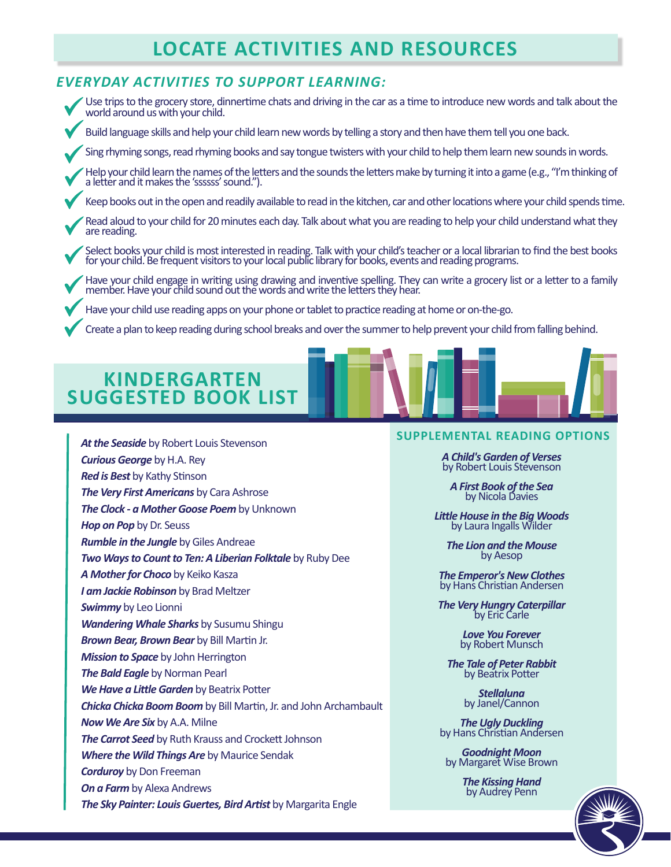# **LOCATE ACTIVITIES AND RESOURCES**

### *EVERYDAY ACTIVITIES TO SUPPORT LEARNING:*

 Use trips to the grocery store, dinnertime chats and driving in the car as a time to introduce new words and talk about the We can be done and the grocery store, and world around us with your child.

◆ Build language skills and help your child learn new words by telling a story and then have them tell you one back.

Sing rhyming songs, read rhyming books and say tongue twisters with your child to help them learn new sounds in words.

Help your child learn the names of the letters and the sounds the letters make by turning it into a game (e.g., "I'm thinking of<br>a letter and it makes the 'ssssss' sound."). a letter and it makes the 'ssssss' sound.").

Keep books out in the open and readily available to read in the kitchen, car and other locations where your child spends time.

**V** Read aloud to are reading. Read aloud to your child for 20 minutes each day. Talk about what you are reading to help your child understand what they

Select books your child is most interested in reading. Talk with your child's teacher or a local librarian to find the best books for your child. Be frequent visitors to your local public library for books, events and read for your child. Be frequent visitors to your local public library for books, events and reading programs.

Have your child engage in writing using drawing and inventive spelling. They can write a grocery list or a letter to a family<br>member. Have your child sound out the words and write the letters they hear. member. Have your child sound out the words and write the letters they hear.

◆ Have your child use reading apps on your phone or tablet to practice reading at home or on-the-go.

◆ Create a plan to keep reading during school breaks and over the summer to help prevent your child from falling behind.

### **KINDERGARTEN SUGGESTED BOOK LIST**

*At the Seaside* by Robert Louis Stevenson

*Curious George* by H.A. Rey

### **SUPPLEMENTAL READING OPTIONS**

*A Child's Garden of Verses*  by Robert Louis Stevenson

*A First Book of the Sea* by Nicola Davies

*Little House in the Big Woods* by Laura Ingalls Wilder

*The Lion and the Mouse*  by Aesop

*The Emperor's New Clothes* by Hans Christian Andersen

*The Very Hungry Caterpillar*<br>by Eric Carle

*Love You Forever*  by Robert Munsch

**The Tale of Peter Rabbit**<br>by Beatrix Potter

*Stellaluna*  by Janel/Cannon

*The Ugly Duckling* by Hans Christian Andersen

*Goodnight Moon* by Margaret Wise Brown

*The Kissing Hand* by Audrey Penn



### *Rumble in the Jungle* by Giles Andreae Experience the transmissive by matter senation by Margaret Wise Brown<br>
Corduroy by Don Freeman<br>
On a Farm by Alexa Andrews<br>
The Sky Painter: Louis Guertes, Bird Artist by Margarita Engle *Red is Best* by Kathy Stinson *The Very First Americans* by Cara Ashrose *The Clock - a Mother Goose Poem* by Unknown *Hop on Pop* by Dr. Seuss *Two Ways to Count to Ten: A Liberian Folktale* by Ruby Dee *A Mother for Choco* by Keiko Kasza *I am Jackie Robinson* by Brad Meltzer *Swimmy* by Leo Lionni *Wandering Whale Sharks* by Susumu Shingu *Brown Bear, Brown Bear* by Bill Martin Jr. *Mission to Space* by John Herrington *The Bald Eagle* by Norman Pearl *We Have a Little Garden* by Beatrix Potter *Chicka Chicka Boom Boom* by Bill Martin, Jr. and John Archambault *Now We Are Six* by A.A. Milne *The Carrot Seed* by Ruth Krauss and Crockett Johnson *Where the Wild Things Are* by Maurice Sendak *Corduroy* by Don Freeman *On a Farm* by Alexa Andrews *The Sky Painter: Louis Guertes, Bird Artist* by Margarita Engle